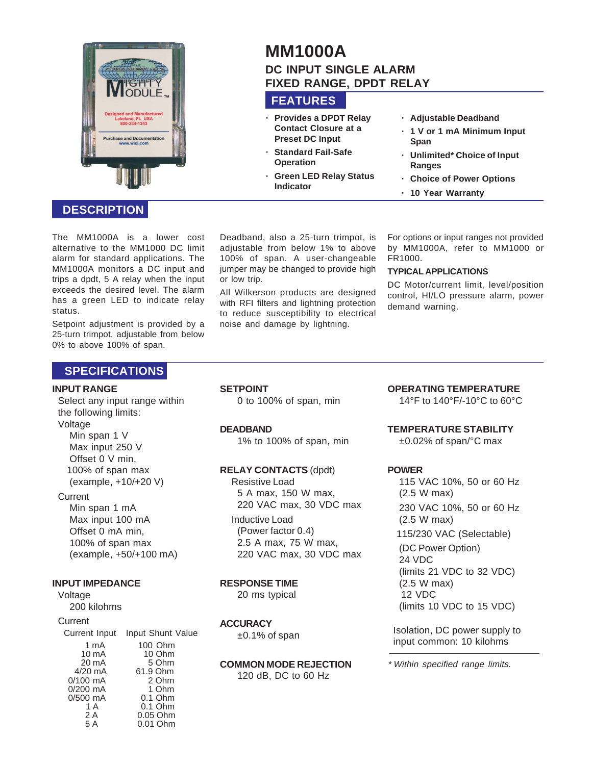

# **MM1000A DC INPUT SINGLE ALARM FIXED RANGE, DPDT RELAY**

# **FEATURES**

- **· Provides a DPDT Relay Contact Closure at a Preset DC Input · Standard Fail-Safe**
- **Operation · Green LED Relay Status Indicator**
- **· Adjustable Deadband**
- **· 1 V or 1 mA Minimum Input Span**
- **· Unlimited\* Choice of Input Ranges**
- **· Choice of Power Options**
- **· 10 Year Warranty**

The MM1000A is a lower cost alternative to the MM1000 DC limit alarm for standard applications. The MM1000A monitors a DC input and trips a dpdt, 5 A relay when the input exceeds the desired level. The alarm has a green LED to indicate relay status.

**DESCRIPTION**

Setpoint adjustment is provided by a 25-turn trimpot, adjustable from below 0% to above 100% of span.

#### Deadband, also a 25-turn trimpot, is adjustable from below 1% to above 100% of span. A user-changeable jumper may be changed to provide high or low trip.

All Wilkerson products are designed with RFI filters and lightning protection to reduce susceptibility to electrical noise and damage by lightning.

For options or input ranges not provided by MM1000A, refer to MM1000 or FR1000.

#### **TYPICAL APPLICATIONS**

DC Motor/current limit, level/position control, HI/LO pressure alarm, power demand warning.

# **SPECIFICATIONS**

#### **INPUT RANGE**

Select any input range within the following limits: Voltage

Min span 1 V Max input 250 V Offset 0 V min, 100% of span max (example, +10/+20 V)

#### **Current**

Min span 1 mA Max input 100 mA Offset 0 mA min, 100% of span max (example, +50/+100 mA)

#### **INPUT IMPEDANCE**

Voltage 200 kilohms

#### **Current**

| Current Input   | Input Shunt Value |
|-----------------|-------------------|
| 1 mA            | 100 Ohm           |
| 10 mA           | 10 Ohm            |
| $20 \text{ mA}$ | 5 Ohm             |
| $4/20$ mA       | 61.9 Ohm          |
| $0/100$ mA      | 2 Ohm             |
| $0/200$ mA      | 1 Ohm             |
| $0/500$ mA      | $0.1$ Ohm         |
| 1 A             | $0.1$ Ohm         |
| 2 A             | 0.05 Ohm          |
| 5 A             | 0.01 Ohm          |

**SETPOINT**

0 to 100% of span, min

#### **DEADBAND**

1% to 100% of span, min

#### **RELAY CONTACTS** (dpdt)

Resistive Load 5 A max, 150 W max, 220 VAC max, 30 VDC max

Inductive Load

(Power factor 0.4) 2.5 A max, 75 W max, 220 VAC max, 30 VDC max

#### **RESPONSE TIME**

20 ms typical

## **ACCURACY**

 $±0.1\%$  of span

**COMMON MODE REJECTION** 120 dB, DC to 60 Hz

# **OPERATING TEMPERATURE**

14°F to 140°F/-10°C to 60°C

# **TEMPERATURE STABILITY**

±0.02% of span/°C max

#### **POWER**

115 VAC 10%, 50 or 60 Hz (2.5 W max) 230 VAC 10%, 50 or 60 Hz (2.5 W max) 115/230 VAC (Selectable) (DC Power Option) 24 VDC (limits 21 VDC to 32 VDC) (2.5 W max) 12 VDC (limits 10 VDC to 15 VDC)

Isolation, DC power supply to input common: 10 kilohms

\* Within specified range limits.